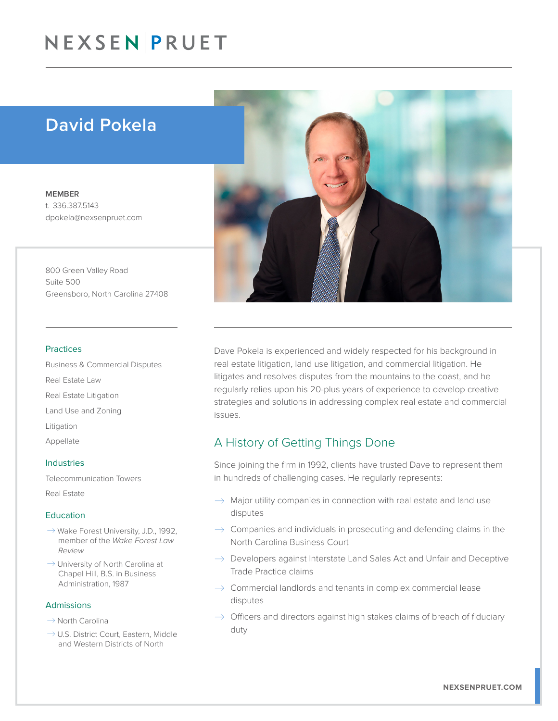## NEXSEN PRUET

## David Pokela

MEMBER t. 336.387.5143 dpokela@nexsenpruet.com

800 Green Valley Road Suite 500 Greensboro, North Carolina 27408

#### Practices

Business & Commercial Disputes Real Estate Law Real Estate Litigation Land Use and Zoning Litigation Appellate

#### Industries

Telecommunication Towers

Real Estate

### Education

- $\rightarrow$  Wake Forest University, J.D., 1992, member of the *Wake Forest Law Review*
- $\rightarrow$  University of North Carolina at Chapel Hill, B.S. in Business Administration, 1987

## Admissions

- $\rightarrow$  North Carolina
- $\rightarrow$  U.S. District Court, Eastern, Middle and Western Districts of North



Dave Pokela is experienced and widely respected for his background in real estate litigation, land use litigation, and commercial litigation. He litigates and resolves disputes from the mountains to the coast, and he regularly relies upon his 20-plus years of experience to develop creative strategies and solutions in addressing complex real estate and commercial issues.

## A History of Getting Things Done

Since joining the firm in 1992, clients have trusted Dave to represent them in hundreds of challenging cases. He regularly represents:

- $\rightarrow$  Major utility companies in connection with real estate and land use disputes
- $\rightarrow$  Companies and individuals in prosecuting and defending claims in the North Carolina Business Court
- $\rightarrow$  Developers against Interstate Land Sales Act and Unfair and Deceptive Trade Practice claims
- $\rightarrow$  Commercial landlords and tenants in complex commercial lease disputes
- $\rightarrow$  Officers and directors against high stakes claims of breach of fiduciary duty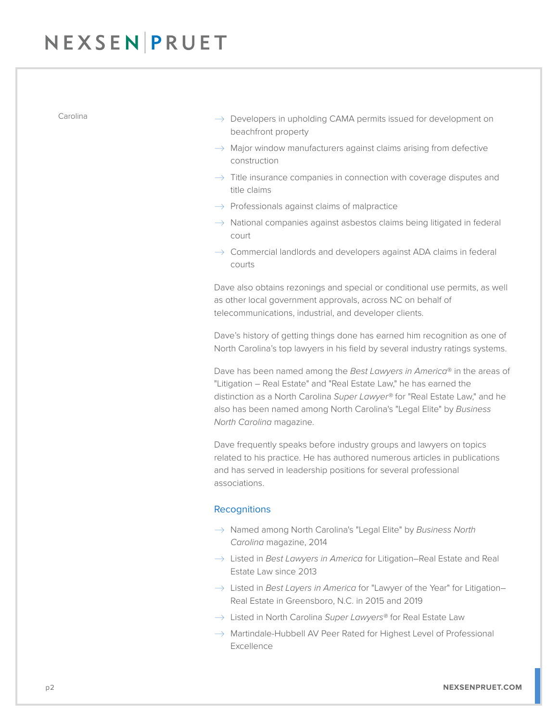# NEXSEN PRUET

- Carolina  $\rightarrow$  Developers in upholding CAMA permits issued for development on beachfront property
	- $\rightarrow$  Major window manufacturers against claims arising from defective construction
	- $\rightarrow$  Title insurance companies in connection with coverage disputes and title claims
	- $\rightarrow$  Professionals against claims of malpractice
	- $\rightarrow$  National companies against asbestos claims being litigated in federal court
	- $\rightarrow$  Commercial landlords and developers against ADA claims in federal courts

Dave also obtains rezonings and special or conditional use permits, as well as other local government approvals, across NC on behalf of telecommunications, industrial, and developer clients.

Dave's history of getting things done has earned him recognition as one of North Carolina's top lawyers in his field by several industry ratings systems.

Dave has been named among the *Best Lawyers in America*® in the areas of "Litigation – Real Estate" and "Real Estate Law," he has earned the distinction as a North Carolina *Super Lawyer®* for "Real Estate Law," and he also has been named among North Carolina's "Legal Elite" by *Business North Carolina* magazine.

Dave frequently speaks before industry groups and lawyers on topics related to his practice. He has authored numerous articles in publications and has served in leadership positions for several professional associations.

### **Recognitions**

- � Named among North Carolina's "Legal Elite" by *Business North Carolina* magazine, 2014
- → Listed in *Best Lawyers in America* for Litigation–Real Estate and Real Estate Law since 2013
- → Listed in *Best Layers in America* for "Lawyer of the Year" for Litigation– Real Estate in Greensboro, N.C. in 2015 and 2019
- � Listed in North Carolina *Super Lawyers®* for Real Estate Law
- $\rightarrow$  Martindale-Hubbell AV Peer Rated for Highest Level of Professional Excellence